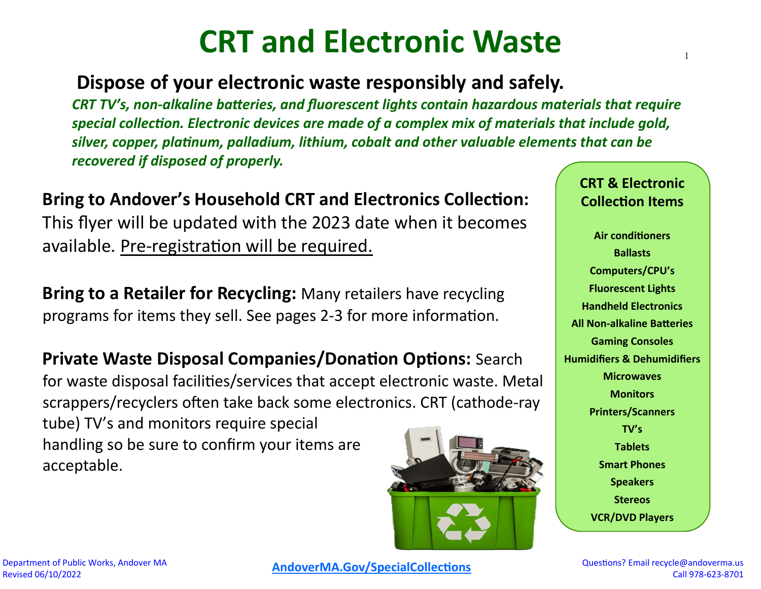# **CRT and Electronic Waste**

### **Dispose of your electronic waste responsibly and safely.**

*CRT TV's, non-alkaline batteries, and fluorescent lights contain hazardous materials that require special collection. Electronic devices are made of a complex mix of materials that include gold, silver, copper, platinum, palladium, lithium, cobalt and other valuable elements that can be recovered if disposed of properly.* 

## **Bring to Andover's Household CRT and Electronics Collection:**

This flyer will be updated with the 2023 date when it becomes available. Pre-registration will be required.

**Bring to a Retailer for Recycling:** Many retailers have recycling programs for items they sell. See pages 2-3 for more information.

**Private Waste Disposal Companies/Donation Options:** Search for waste disposal facilities/services that accept electronic waste. Metal scrappers/recyclers often take back some electronics. CRT (cathode-ray tube) TV's and monitors require special handling so be sure to confirm your items are acceptable.



**CRT & Electronic Collection Items**

1

**Air conditioners Ballasts Computers/CPU's Fluorescent Lights Handheld Electronics All Non-alkaline Batteries Gaming Consoles Humidifiers & Dehumidifiers Microwaves Monitors Printers/Scanners TV's Tablets Smart Phones Speakers Stereos VCR/DVD Players**

**[AndoverMA.Gov/SpecialCollections](https://andoverma.gov/926/Special-Collections)** Questions? Email recycle@andoverma.us

Call 978-623-8701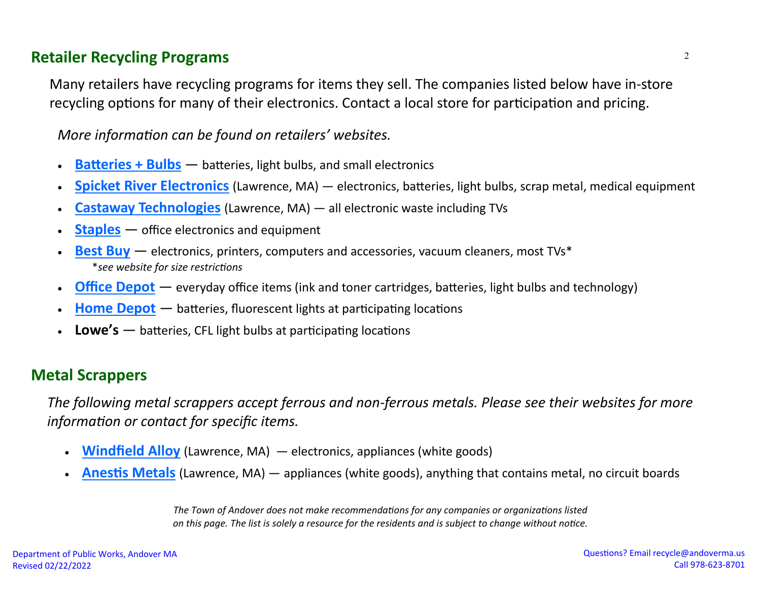#### **Retailer Recycling Programs**

Many retailers have recycling programs for items they sell. The companies listed below have in-store recycling options for many of their electronics. Contact a local store for participation and pricing.

*More information can be found on retailers' websites.*

- **[Batteries + Bulbs](https://www.batteriesplus.com/t/recycling)** batteries, light bulbs, and small electronics
- **[Spicket River Electronics](https://spicketriver.com/sell-us-your-device/)** (Lawrence, MA) electronics, batteries, light bulbs, scrap metal, medical equipment
- **[Castaway Technologies](https://castawaytech.com/services/e-waste-recycling/)** (Lawrence, MA) all electronic waste including TVs
- **[Staples](https://www.staples.com/sbd/cre/marketing/sustainability-center/recycling-services/electronics/)** office electronics and equipment
- **[Best Buy](https://www.bestbuy.com/site/services/recycling/pcmcat149900050025.c?id=pcmcat149900050025)** electronics, printers, computers and accessories, vacuum cleaners, most TVs\* \**see website for size restrictions*
- **[Office Depot](https://business.officedepot.com/a/content/prelogin/recycling-solutions/)** everyday office items (ink and toner cartridges, batteries, light bulbs and technology)
- **[Home Depot](https://www.homedepot.com/c/what_to_toss_HT_BG_KI)** batteries, fluorescent lights at participating locations
- **Lowe's** batteries, CFL light bulbs at participating locations

#### **Metal Scrappers**

*The following metal scrappers accept ferrous and non-ferrous metals. Please see their websites for more information or contact for specific items.*

- **[Windfield Alloy](https://windfieldalloy.com/metals-recycling/overview/)** (Lawrence, MA) electronics, appliances (white goods)
- **[Anestis Metals](https://www.anestismetal.com/whatwebuy.html)** (Lawrence, MA) appliances (white goods), anything that contains metal, no circuit boards

*The Town of Andover does not make recommendations for any companies or organizations listed on this page. The list is solely a resource for the residents and is subject to change without notice.*